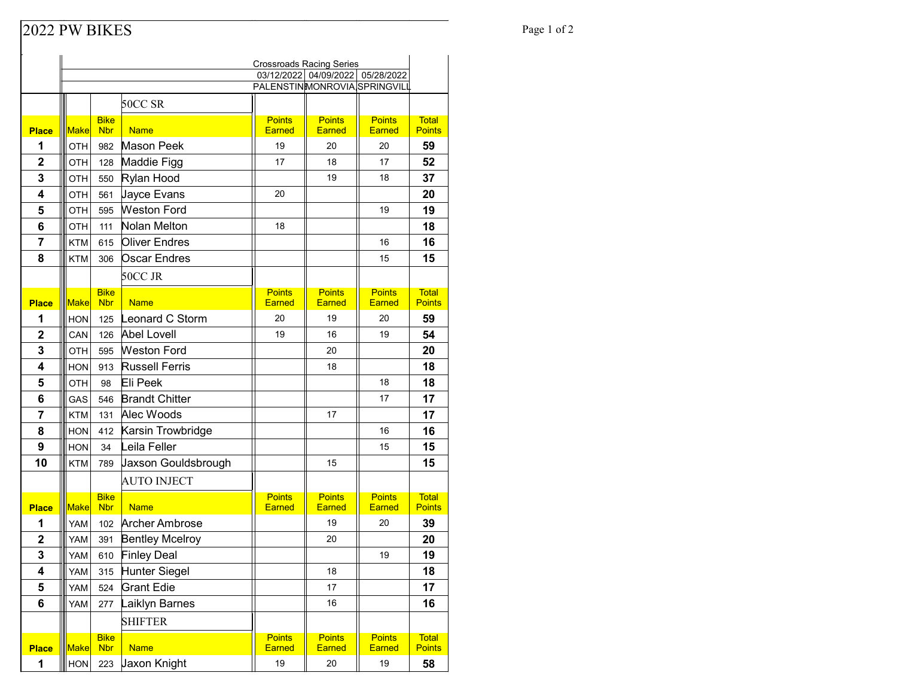## Page 1 of 2

|                         | <b>Crossroads Racing Series</b>                                     |                           |                                   |                         |                                |                                |                               |
|-------------------------|---------------------------------------------------------------------|---------------------------|-----------------------------------|-------------------------|--------------------------------|--------------------------------|-------------------------------|
|                         | 03/12/2022 04/09/2022<br>05/28/2022<br>PALENSTINMONROVIA SPRINGVILL |                           |                                   |                         |                                |                                |                               |
|                         |                                                                     |                           |                                   |                         |                                |                                |                               |
|                         |                                                                     |                           | 50CC SR                           |                         |                                |                                |                               |
| <b>Place</b>            | Make                                                                | <b>Bike</b><br><b>Nbr</b> | <b>Name</b>                       | <b>Points</b><br>Earned | <b>Points</b><br><b>Earned</b> | <b>Points</b><br><b>Earned</b> | <b>Total</b><br><b>Points</b> |
| 1                       | OTH                                                                 | 982                       | <b>Mason Peek</b>                 | 19                      | 20                             | 20                             | 59                            |
| $\overline{\mathbf{2}}$ | отн                                                                 | 128                       | Maddie Figg                       | 17                      | 18                             | 17                             | 52                            |
| 3                       | OTH                                                                 | 550                       | Rylan Hood                        |                         | 19                             | 18                             | 37                            |
| 4                       | OTH                                                                 | 561                       | <b>Jayce Evans</b>                | 20                      |                                |                                | 20                            |
| 5                       | <b>OTH</b>                                                          | 595                       | Weston Ford                       |                         |                                | 19                             | 19                            |
| 6                       | OTH                                                                 | 111                       | Nolan Melton                      | 18                      |                                |                                | 18                            |
| $\overline{7}$          | <b>KTM</b>                                                          | 615                       | <b>Oliver Endres</b>              |                         |                                | 16                             | 16                            |
| 8                       | KTM                                                                 | 306                       | <b>Oscar Endres</b>               |                         |                                | 15                             | 15                            |
|                         |                                                                     |                           | 50CC JR                           |                         |                                |                                |                               |
|                         |                                                                     | <b>Bike</b>               |                                   | <b>Points</b>           | <b>Points</b>                  | <b>Points</b>                  | <b>Total</b>                  |
| <b>Place</b>            | <b>Make</b>                                                         | <b>Nbr</b>                | <b>Name</b>                       | <b>Earned</b>           | <b>Earned</b>                  | <b>Earned</b>                  | <b>Points</b>                 |
| 1                       | <b>HON</b>                                                          | 125                       | Leonard C Storm                   | 20                      | 19                             | 20                             | 59                            |
| $\mathbf 2$             | CAN                                                                 | 126                       | <b>Abel Lovell</b>                | 19                      | 16                             | 19                             | 54                            |
| 3                       | OTH                                                                 | 595                       | <b>Weston Ford</b>                |                         | 20<br>18                       |                                | 20                            |
| 4<br>5                  | <b>HON</b>                                                          | 913                       | <b>Russell Ferris</b><br>Eli Peek |                         |                                | 18                             | 18<br>18                      |
| 6                       | <b>OTH</b>                                                          | 98                        | <b>Brandt Chitter</b>             |                         |                                | 17                             | 17                            |
| $\overline{7}$          | GAS<br><b>KTM</b>                                                   | 546<br>131                | Alec Woods                        |                         | 17                             |                                | 17                            |
| 8                       | <b>HON</b>                                                          | 412                       | Karsin Trowbridge                 |                         |                                | 16                             | 16                            |
| 9                       | <b>HON</b>                                                          | 34                        | Leila Feller                      |                         |                                | 15                             | 15                            |
| 10                      | <b>KTM</b>                                                          | 789                       | Jaxson Gouldsbrough               |                         | 15                             |                                | 15                            |
|                         |                                                                     |                           | <b>AUTO INJECT</b>                |                         |                                |                                |                               |
|                         |                                                                     | <b>Bike</b>               |                                   | <b>Points</b>           | <b>Points</b>                  | <b>Points</b>                  | <b>Total</b>                  |
| <b>Place</b>            | <b>Make</b>                                                         | <b>Nbr</b>                | <b>Name</b>                       | <b>Earned</b>           | <b>Earned</b>                  | <b>Earned</b>                  | <b>Points</b>                 |
| 1                       | YAM                                                                 | 102                       | <b>Archer Ambrose</b>             |                         | 19                             | 20                             | 39                            |
| $\mathbf 2$             | YAM                                                                 | 391                       | <b>Bentley Mcelroy</b>            |                         | 20                             |                                | 20                            |
| $\overline{\mathbf{3}}$ | YAM                                                                 | 610                       | <b>Finley Deal</b>                |                         |                                | 19                             | 19                            |
| 4                       | YAM                                                                 | 315                       | Hunter Siegel                     |                         | 18                             |                                | 18                            |
| 5                       | YAM                                                                 | 524                       | <b>Grant Edie</b>                 |                         | 17                             |                                | 17                            |
| 6                       | YAM                                                                 | 277                       | Laiklyn Barnes                    |                         | 16                             |                                | 16                            |
|                         |                                                                     |                           | <b>SHIFTER</b>                    |                         |                                |                                |                               |
|                         | Make                                                                | <b>Bike</b><br><b>Nbr</b> | <b>Name</b>                       | <b>Points</b><br>Earned | <b>Points</b><br><b>Earned</b> | <b>Points</b><br>Earned        | <b>Total</b><br><b>Points</b> |
| <b>Place</b><br>1       | HON                                                                 | 223                       | Jaxon Knight                      | 19                      | 20                             | 19                             | 58                            |
|                         |                                                                     |                           |                                   |                         |                                |                                |                               |